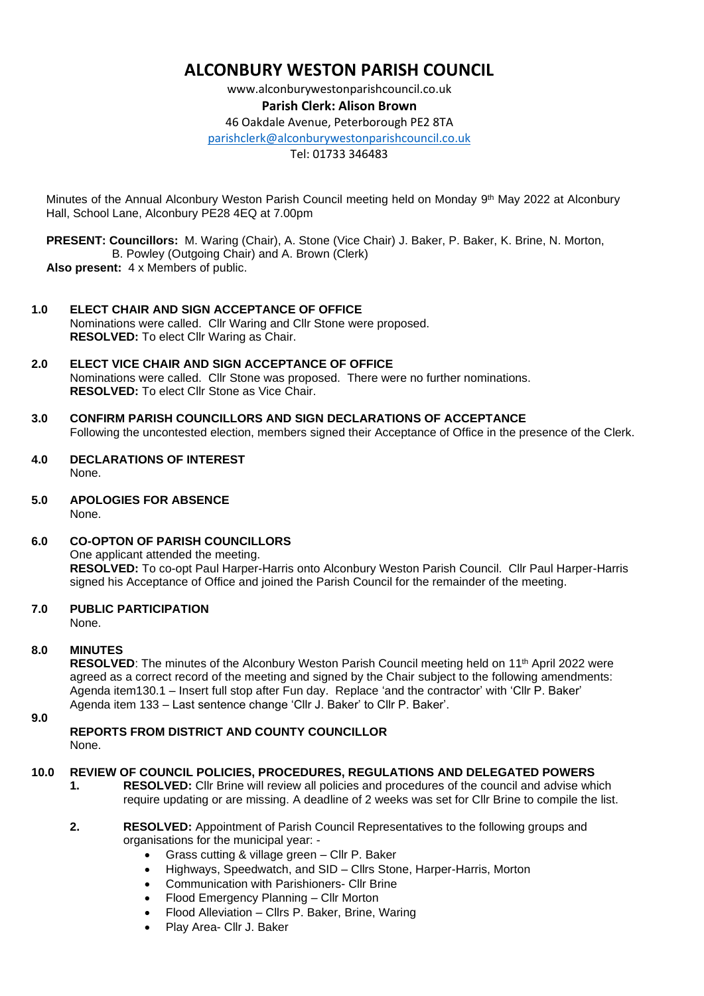# **ALCONBURY WESTON PARISH COUNCIL**

www.alconburywestonparishcouncil.co.uk

## **Parish Clerk: Alison Brown**

46 Oakdale Avenue, Peterborough PE2 8TA

[parishclerk@alconburywestonparishcouncil.co.uk](mailto:parishclerk@alconburyparishcouncil.co.uk)

Tel: 01733 346483

Minutes of the Annual Alconbury Weston Parish Council meeting held on Monday 9<sup>th</sup> May 2022 at Alconbury Hall, School Lane, Alconbury PE28 4EQ at 7.00pm

 **PRESENT: Councillors:** M. Waring (Chair), A. Stone (Vice Chair) J. Baker, P. Baker, K. Brine, N. Morton, B. Powley (Outgoing Chair) and A. Brown (Clerk)  **Also present:** 4 x Members of public.

- **1.0 ELECT CHAIR AND SIGN ACCEPTANCE OF OFFICE** Nominations were called. Cllr Waring and Cllr Stone were proposed. **RESOLVED:** To elect Cllr Waring as Chair.
- **2.0 ELECT VICE CHAIR AND SIGN ACCEPTANCE OF OFFICE** Nominations were called. Cllr Stone was proposed. There were no further nominations. **RESOLVED:** To elect Cllr Stone as Vice Chair.
- **3.0 CONFIRM PARISH COUNCILLORS AND SIGN DECLARATIONS OF ACCEPTANCE** Following the uncontested election, members signed their Acceptance of Office in the presence of the Clerk.
- **4.0 DECLARATIONS OF INTEREST** None.
- **5.0 APOLOGIES FOR ABSENCE** None.
- **6.0 CO-OPTON OF PARISH COUNCILLORS** One applicant attended the meeting. **RESOLVED:** To co-opt Paul Harper-Harris onto Alconbury Weston Parish Council. Cllr Paul Harper-Harris signed his Acceptance of Office and joined the Parish Council for the remainder of the meeting.
- **7.0 PUBLIC PARTICIPATION**

None.

## **8.0 MINUTES**

**RESOLVED:** The minutes of the Alconbury Weston Parish Council meeting held on 11<sup>th</sup> April 2022 were agreed as a correct record of the meeting and signed by the Chair subject to the following amendments: Agenda item130.1 – Insert full stop after Fun day. Replace 'and the contractor' with 'Cllr P. Baker' Agenda item 133 – Last sentence change 'Cllr J. Baker' to Cllr P. Baker'.

**9.0**

**REPORTS FROM DISTRICT AND COUNTY COUNCILLOR** None.

## **10.0 REVIEW OF COUNCIL POLICIES, PROCEDURES, REGULATIONS AND DELEGATED POWERS**

**1. RESOLVED:** Cllr Brine will review all policies and procedures of the council and advise which require updating or are missing. A deadline of 2 weeks was set for Cllr Brine to compile the list.

#### **2. RESOLVED:** Appointment of Parish Council Representatives to the following groups and organisations for the municipal year: -

- Grass cutting & village green Cllr P. Baker
- Highways, Speedwatch, and SID Cllrs Stone, Harper-Harris, Morton
- Communication with Parishioners- Cllr Brine
- Flood Emergency Planning Cllr Morton
- Flood Alleviation Cllrs P. Baker, Brine, Waring
- Play Area- Cllr J. Baker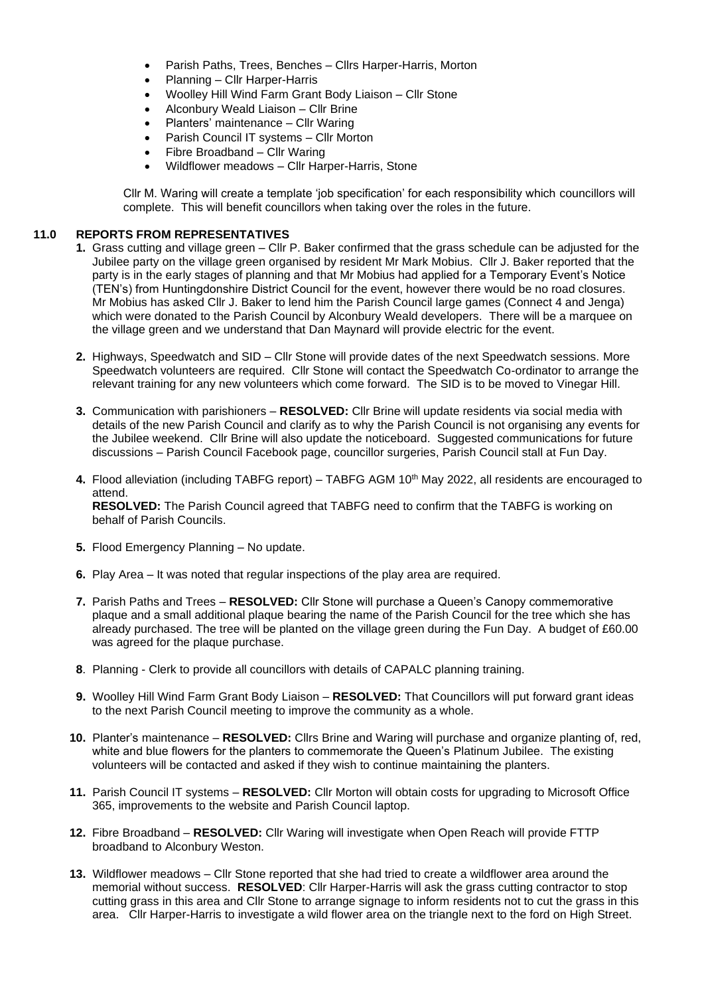- Parish Paths, Trees, Benches Cllrs Harper-Harris, Morton
- Planning Cllr Harper-Harris
- Woolley Hill Wind Farm Grant Body Liaison Cllr Stone
- Alconbury Weald Liaison Cllr Brine
- Planters' maintenance Cllr Waring
- Parish Council IT systems Cllr Morton
- Fibre Broadband Cllr Waring
- Wildflower meadows Cllr Harper-Harris, Stone

Cllr M. Waring will create a template 'job specification' for each responsibility which councillors will complete. This will benefit councillors when taking over the roles in the future.

#### **11.0 REPORTS FROM REPRESENTATIVES**

- **1.** Grass cutting and village green Cllr P. Baker confirmed that the grass schedule can be adjusted for the Jubilee party on the village green organised by resident Mr Mark Mobius. Cllr J. Baker reported that the party is in the early stages of planning and that Mr Mobius had applied for a Temporary Event's Notice (TEN's) from Huntingdonshire District Council for the event, however there would be no road closures. Mr Mobius has asked Cllr J. Baker to lend him the Parish Council large games (Connect 4 and Jenga) which were donated to the Parish Council by Alconbury Weald developers. There will be a marquee on the village green and we understand that Dan Maynard will provide electric for the event.
- **2.** Highways, Speedwatch and SID Cllr Stone will provide dates of the next Speedwatch sessions. More Speedwatch volunteers are required. Cllr Stone will contact the Speedwatch Co-ordinator to arrange the relevant training for any new volunteers which come forward. The SID is to be moved to Vinegar Hill.
- **3.** Communication with parishioners **RESOLVED:** Cllr Brine will update residents via social media with details of the new Parish Council and clarify as to why the Parish Council is not organising any events for the Jubilee weekend. Cllr Brine will also update the noticeboard. Suggested communications for future discussions – Parish Council Facebook page, councillor surgeries, Parish Council stall at Fun Day.
- 4. Flood alleviation (including TABFG report) TABFG AGM 10<sup>th</sup> May 2022, all residents are encouraged to attend. **RESOLVED:** The Parish Council agreed that TABFG need to confirm that the TABFG is working on behalf of Parish Councils.
- **5.** Flood Emergency Planning No update.
- **6.** Play Area It was noted that regular inspections of the play area are required.
- **7.** Parish Paths and Trees **RESOLVED:** Cllr Stone will purchase a Queen's Canopy commemorative plaque and a small additional plaque bearing the name of the Parish Council for the tree which she has already purchased. The tree will be planted on the village green during the Fun Day. A budget of £60.00 was agreed for the plaque purchase.
- **8**. Planning Clerk to provide all councillors with details of CAPALC planning training.
- **9.** Woolley Hill Wind Farm Grant Body Liaison **RESOLVED:** That Councillors will put forward grant ideas to the next Parish Council meeting to improve the community as a whole.
- **10.** Planter's maintenance **RESOLVED:** Cllrs Brine and Waring will purchase and organize planting of, red, white and blue flowers for the planters to commemorate the Queen's Platinum Jubilee. The existing volunteers will be contacted and asked if they wish to continue maintaining the planters.
- **11.** Parish Council IT systems **RESOLVED:** Cllr Morton will obtain costs for upgrading to Microsoft Office 365, improvements to the website and Parish Council laptop.
- **12.** Fibre Broadband **RESOLVED:** Cllr Waring will investigate when Open Reach will provide FTTP broadband to Alconbury Weston.
- **13.** Wildflower meadows Cllr Stone reported that she had tried to create a wildflower area around the memorial without success. **RESOLVED**: Cllr Harper-Harris will ask the grass cutting contractor to stop cutting grass in this area and Cllr Stone to arrange signage to inform residents not to cut the grass in this area. Cllr Harper-Harris to investigate a wild flower area on the triangle next to the ford on High Street.